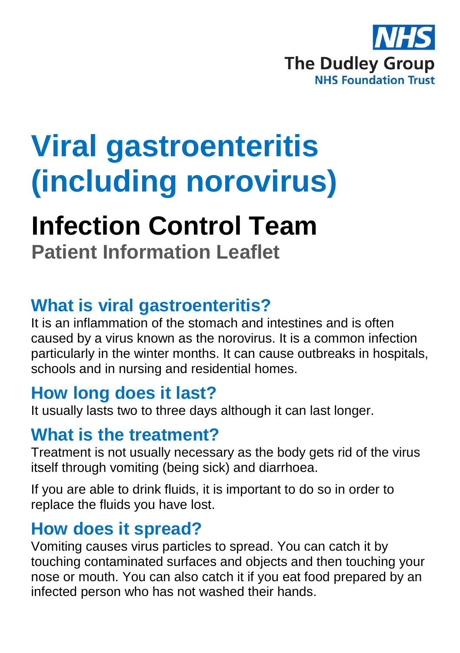

# **Viral gastroenteritis (including norovirus)**

## **Infection Control Team**

**Patient Information Leaflet**

#### **What is viral gastroenteritis?**

It is an inflammation of the stomach and intestines and is often caused by a virus known as the norovirus. It is a common infection particularly in the winter months. It can cause outbreaks in hospitals, schools and in nursing and residential homes.

#### **How long does it last?**

It usually lasts two to three days although it can last longer.

#### **What is the treatment?**

Treatment is not usually necessary as the body gets rid of the virus itself through vomiting (being sick) and diarrhoea.

If you are able to drink fluids, it is important to do so in order to replace the fluids you have lost.

#### **How does it spread?**

Vomiting causes virus particles to spread. You can catch it by touching contaminated surfaces and objects and then touching your nose or mouth. You can also catch it if you eat food prepared by an infected person who has not washed their hands.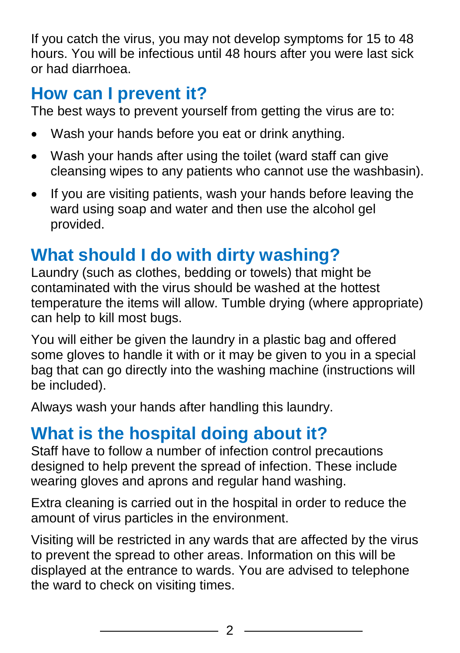If you catch the virus, you may not develop symptoms for 15 to 48 hours. You will be infectious until 48 hours after you were last sick or had diarrhoea.

#### **How can I prevent it?**

The best ways to prevent yourself from getting the virus are to:

- Wash your hands before you eat or drink anything.
- Wash your hands after using the toilet (ward staff can give cleansing wipes to any patients who cannot use the washbasin).
- If you are visiting patients, wash your hands before leaving the ward using soap and water and then use the alcohol gel provided.

### **What should I do with dirty washing?**

Laundry (such as clothes, bedding or towels) that might be contaminated with the virus should be washed at the hottest temperature the items will allow. Tumble drying (where appropriate) can help to kill most bugs.

You will either be given the laundry in a plastic bag and offered some gloves to handle it with or it may be given to you in a special bag that can go directly into the washing machine (instructions will be included).

Always wash your hands after handling this laundry.

### **What is the hospital doing about it?**

Staff have to follow a number of infection control precautions designed to help prevent the spread of infection. These include wearing gloves and aprons and regular hand washing.

Extra cleaning is carried out in the hospital in order to reduce the amount of virus particles in the environment.

Visiting will be restricted in any wards that are affected by the virus to prevent the spread to other areas. Information on this will be displayed at the entrance to wards. You are advised to telephone the ward to check on visiting times.